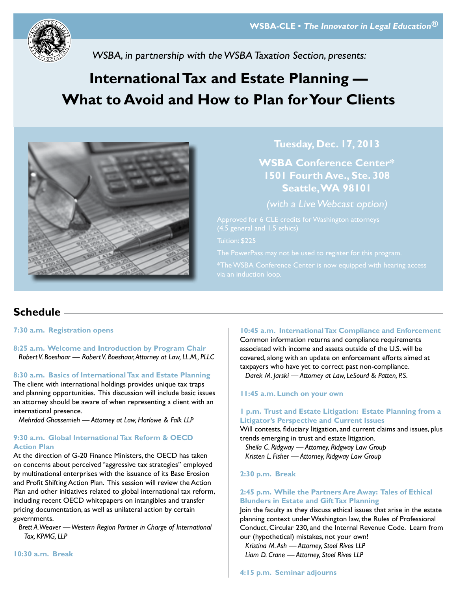

WSBA, in partnership with the WSBA Taxation Section, presents:

# **International Tax and Estate Planning — What to Avoid and How to Plan for Your Clients**



**Tuesday, Dec. 17, 2013**

**WSBA Conference Center\* 1501 Fourth Ave., Ste. 308 Seattle, WA 98101**

(with a Live Webcast option)

Tuition: \$225

### **Schedule**

**7:30 a.m. Registration opens**

**8:25 a.m. Welcome and Introduction by Program Chair** *Robert V. Boeshaar — Robert V. Boeshaar, Attorney at Law, LL.M., PLLC*

**8:30 a.m. Basics of International Tax and Estate Planning** 

The client with international holdings provides unique tax traps and planning opportunities. This discussion will include basic issues an attorney should be aware of when representing a client with an international presence.

*Mehrdad Ghassemieh — Attorney at Law, Harlowe & Falk LLP* 

#### **9:30 a.m. Global International Tax Reform & OECD Action Plan**

At the direction of G-20 Finance Ministers, the OECD has taken on concerns about perceived "aggressive tax strategies" employed by multinational enterprises with the issuance of its Base Erosion and Profit Shifting Action Plan. This session will review the Action Plan and other initiatives related to global international tax reform, including recent OECD whitepapers on intangibles and transfer pricing documentation, as well as unilateral action by certain governments.

*Brett A. Weaver — Western Region Partner in Charge of International Tax, KPMG, LLP*

**10:30 a.m. Break**

#### **10:45 a.m. International Tax Compliance and Enforcement**

Common information returns and compliance requirements associated with income and assets outside of the U.S. will be covered, along with an update on enforcement efforts aimed at taxpayers who have yet to correct past non-compliance. *Darek M. Jarski — Attorney at Law, LeSourd & Patten, P.S.*

**11:45 a.m. Lunch on your own**

#### **1 p.m. Trust and Estate Litigation: Estate Planning from a Litigator's Perspective and Current Issues**

Will contests, fiduciary litigation, and current claims and issues, plus trends emerging in trust and estate litigation.

*Sheila C. Ridgway — Attorney, Ridgway Law Group Kristen L. Fisher — Attorney, Ridgway Law Group*

**2:30 p.m. Break**

#### **2:45 p.m. While the Partners Are Away: Tales of Ethical Blunders in Estate and Gift Tax Planning**

Join the faculty as they discuss ethical issues that arise in the estate planning context under Washington law, the Rules of Professional Conduct, Circular 230, and the Internal Revenue Code. Learn from our (hypothetical) mistakes, not your own!

*Kristina M. Ash — Attorney, Stoel Rives LLP Liam D. Crane — Attorney, Stoel Rives LLP*

**4:15 p.m. Seminar adjourns**